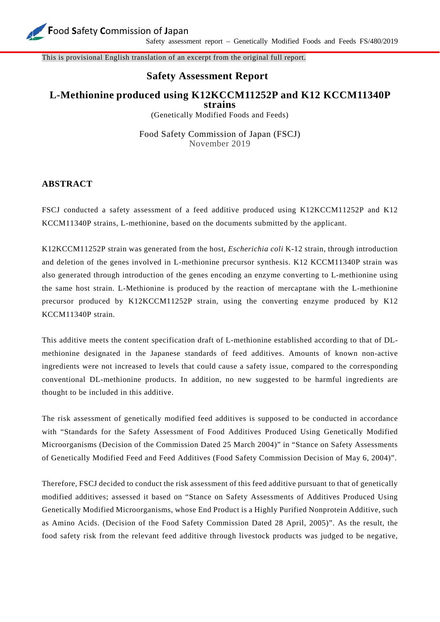

This is provisional English translation of an excerpt from the original full report.

## **Safety Assessment Report**

## **L***-***Methionine produced using K12KCCM11252P and K12 KCCM11340P strains**

(Genetically Modified Foods and Feeds)

Food Safety Commission of Japan (FSCJ) November 2019

## **ABSTRACT**

FSCJ conducted a safety assessment of a feed additive produced using K12KCCM11252P and K12 KCCM11340P strains, L-methionine, based on the documents submitted by the applicant.

K12KCCM11252P strain was generated from the host, *Escherichia coli* K-12 strain, through introduction and deletion of the genes involved in L-methionine precursor synthesis. K12 KCCM11340P strain was also generated through introduction of the genes encoding an enzyme converting to L-methionine using the same host strain. L-Methionine is produced by the reaction of mercaptane with the L-methionine precursor produced by K12KCCM11252P strain, using the converting enzyme produced by K12 KCCM11340P strain.

This additive meets the content specification draft of L-methionine established according to that of DLmethionine designated in the Japanese standards of feed additives. Amounts of known non-active ingredients were not increased to levels that could cause a safety issue, compared to the corresponding conventional DL-methionine products. In addition, no new suggested to be harmful ingredients are thought to be included in this additive.

The risk assessment of genetically modified feed additives is supposed to be conducted in accordance with "Standards for the Safety Assessment of Food Additives Produced Using Genetically Modified Microorganisms (Decision of the Commission Dated 25 March 2004)" in "Stance on Safety Assessments of Genetically Modified Feed and Feed Additives (Food Safety Commission Decision of May 6, 2004)".

Therefore, FSCJ decided to conduct the risk assessment of this feed additive pursuant to that of genetically modified additives; assessed it based on "Stance on Safety Assessments of Additives Produced Using Genetically Modified Microorganisms, whose End Product is a Highly Purified Nonprotein Additive, such as Amino Acids. (Decision of the Food Safety Commission Dated 28 April, 2005)". As the result, the food safety risk from the relevant feed additive through livestock products was judged to be negative,